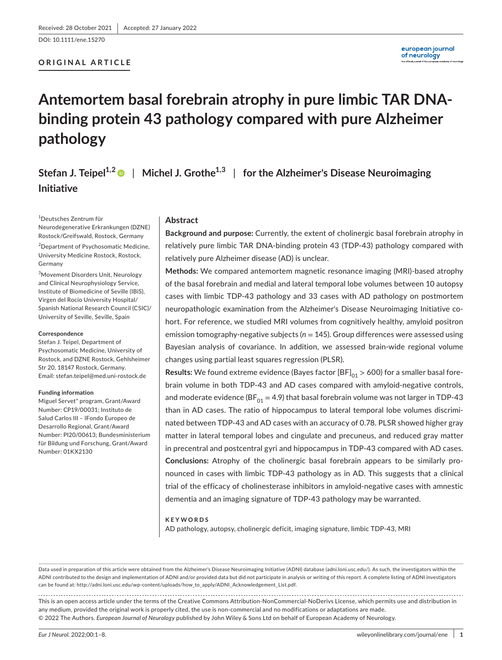DOI: 10.1111/ene.15270

## **ORIGINAL ARTICLE**

# **Antemortem basal forebrain atrophy in pure limbic TAR DNAbinding protein 43 pathology compared with pure Alzheimer pathology**

**Stefan J. Teipel1,[2](https://orcid.org/0000-0002-3586-3194)** | **Michel J. Grothe1,3** | **for the Alzheimer's Disease Neuroimaging Initiative**

1 Deutsches Zentrum für Neurodegenerative Erkrankungen (DZNE) Rostock/Greifswald, Rostock, Germany

2 Department of Psychosomatic Medicine, University Medicine Rostock, Rostock, Germany

3 Movement Disorders Unit, Neurology and Clinical Neurophysiology Service, Institute of Biomedicine of Seville (IBiS), Virgen del Rocío University Hospital/ Spanish National Research Council (CSIC)/ University of Seville, Seville, Spain

#### **Correspondence**

Stefan J. Teipel, Department of Psychosomatic Medicine, University of Rostock, and DZNE Rostock, Gehlsheimer Str 20, 18147 Rostock, Germany. Email: [stefan.teipel@med.uni-rostock.de](mailto:stefan.teipel@med.uni-rostock.de)

#### **Funding information**

Miguel Servet" program, Grant/Award Number: CP19/00031; Instituto de Salud Carlos III – lFondo Europeo de Desarrollo Regional, Grant/Award Number: PI20/00613; Bundesministerium für Bildung und Forschung, Grant/Award Number: 01KX2130

## **Abstract**

**Background and purpose:** Currently, the extent of cholinergic basal forebrain atrophy in relatively pure limbic TAR DNA-binding protein 43 (TDP-43) pathology compared with relatively pure Alzheimer disease (AD) is unclear.

**Methods:** We compared antemortem magnetic resonance imaging (MRI)-based atrophy of the basal forebrain and medial and lateral temporal lobe volumes between 10 autopsy cases with limbic TDP-43 pathology and 33 cases with AD pathology on postmortem neuropathologic examination from the Alzheimer's Disease Neuroimaging Initiative cohort. For reference, we studied MRI volumes from cognitively healthy, amyloid positron emission tomography-negative subjects (*n* = 145). Group differences were assessed using Bayesian analysis of covariance. In addition, we assessed brain-wide regional volume changes using partial least squares regression (PLSR).

**Results:** We found extreme evidence (Bayes factor [BF]<sub>01</sub> > 600) for a smaller basal forebrain volume in both TDP-43 and AD cases compared with amyloid-negative controls, and moderate evidence (BF $_{01}$  = 4.9) that basal forebrain volume was not larger in TDP-43 than in AD cases. The ratio of hippocampus to lateral temporal lobe volumes discriminated between TDP-43 and AD cases with an accuracy of 0.78. PLSR showed higher gray matter in lateral temporal lobes and cingulate and precuneus, and reduced gray matter in precentral and postcentral gyri and hippocampus in TDP-43 compared with AD cases. **Conclusions:** Atrophy of the cholinergic basal forebrain appears to be similarly pronounced in cases with limbic TDP-43 pathology as in AD. This suggests that a clinical trial of the efficacy of cholinesterase inhibitors in amyloid-negative cases with amnestic dementia and an imaging signature of TDP-43 pathology may be warranted.

#### **KEYWORDS**

AD pathology, autopsy, cholinergic deficit, imaging signature, limbic TDP-43, MRI

Data used in preparation of this article were obtained from the Alzheimer's Disease Neuroimaging Initiative (ADNI) database (adni.loni.usc.edu/). As such, the investigators within the ADNI contributed to the design and implementation of ADNI and/or provided data but did not participate in analysis or writing of this report. A complete listing of ADNI investigators can be found at: [http://adni.loni.usc.edu/wp-content/uploads/how\\_to\\_apply/ADNI\\_Acknowledgement\\_List.pdf.](http://adni.loni.usc.edu/wp-content/uploads/how_to_apply/ADNI_Acknowledgement_List.pdf)

This is an open access article under the terms of the [Creative Commons Attribution-NonCommercial-NoDerivs](http://creativecommons.org/licenses/by-nc-nd/4.0/) License, which permits use and distribution in any medium, provided the original work is properly cited, the use is non-commercial and no modifications or adaptations are made. © 2022 The Authors. *European Journal of Neurology* published by John Wiley & Sons Ltd on behalf of European Academy of Neurology.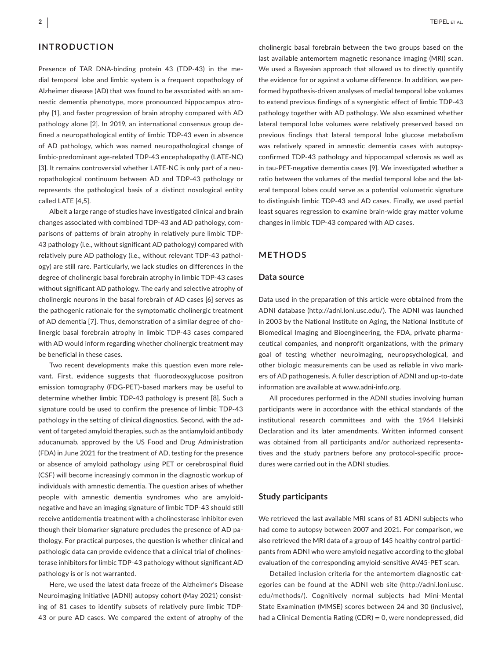# **INTRODUCTION**

Presence of TAR DNA-binding protein 43 (TDP-43) in the medial temporal lobe and limbic system is a frequent copathology of Alzheimer disease (AD) that was found to be associated with an amnestic dementia phenotype, more pronounced hippocampus atrophy [1], and faster progression of brain atrophy compared with AD pathology alone [2]. In 2019, an international consensus group defined a neuropathological entity of limbic TDP-43 even in absence of AD pathology, which was named neuropathological change of limbic-predominant age-related TDP-43 encephalopathy (LATE-NC) [3]. It remains controversial whether LATE-NC is only part of a neuropathological continuum between AD and TDP-43 pathology or represents the pathological basis of a distinct nosological entity called LATE [4,5].

Albeit a large range of studies have investigated clinical and brain changes associated with combined TDP-43 and AD pathology, comparisons of patterns of brain atrophy in relatively pure limbic TDP-43 pathology (i.e., without significant AD pathology) compared with relatively pure AD pathology (i.e., without relevant TDP-43 pathology) are still rare. Particularly, we lack studies on differences in the degree of cholinergic basal forebrain atrophy in limbic TDP-43 cases without significant AD pathology. The early and selective atrophy of cholinergic neurons in the basal forebrain of AD cases [6] serves as the pathogenic rationale for the symptomatic cholinergic treatment of AD dementia [7]. Thus, demonstration of a similar degree of cholinergic basal forebrain atrophy in limbic TDP-43 cases compared with AD would inform regarding whether cholinergic treatment may be beneficial in these cases.

Two recent developments make this question even more relevant. First, evidence suggests that fluorodeoxyglucose positron emission tomography (FDG-PET)-based markers may be useful to determine whether limbic TDP-43 pathology is present [8]. Such a signature could be used to confirm the presence of limbic TDP-43 pathology in the setting of clinical diagnostics. Second, with the advent of targeted amyloid therapies, such as the antiamyloid antibody aducanumab, approved by the US Food and Drug Administration (FDA) in June 2021 for the treatment of AD, testing for the presence or absence of amyloid pathology using PET or cerebrospinal fluid (CSF) will become increasingly common in the diagnostic workup of individuals with amnestic dementia. The question arises of whether people with amnestic dementia syndromes who are amyloidnegative and have an imaging signature of limbic TDP-43 should still receive antidementia treatment with a cholinesterase inhibitor even though their biomarker signature precludes the presence of AD pathology. For practical purposes, the question is whether clinical and pathologic data can provide evidence that a clinical trial of cholinesterase inhibitors for limbic TDP-43 pathology without significant AD pathology is or is not warranted.

Here, we used the latest data freeze of the Alzheimer's Disease Neuroimaging Initiative (ADNI) autopsy cohort (May 2021) consisting of 81 cases to identify subsets of relatively pure limbic TDP-43 or pure AD cases. We compared the extent of atrophy of the

cholinergic basal forebrain between the two groups based on the last available antemortem magnetic resonance imaging (MRI) scan. We used a Bayesian approach that allowed us to directly quantify the evidence for or against a volume difference. In addition, we performed hypothesis-driven analyses of medial temporal lobe volumes to extend previous findings of a synergistic effect of limbic TDP-43 pathology together with AD pathology. We also examined whether lateral temporal lobe volumes were relatively preserved based on previous findings that lateral temporal lobe glucose metabolism was relatively spared in amnestic dementia cases with autopsyconfirmed TDP-43 pathology and hippocampal sclerosis as well as in tau-PET-negative dementia cases [9]. We investigated whether a ratio between the volumes of the medial temporal lobe and the lateral temporal lobes could serve as a potential volumetric signature to distinguish limbic TDP-43 and AD cases. Finally, we used partial least squares regression to examine brain-wide gray matter volume changes in limbic TDP-43 compared with AD cases.

## **METHODS**

#### **Data source**

Data used in the preparation of this article were obtained from the ADNI database (<http://adni.loni.usc.edu/>). The ADNI was launched in 2003 by the National Institute on Aging, the National Institute of Biomedical Imaging and Bioengineering, the FDA, private pharmaceutical companies, and nonprofit organizations, with the primary goal of testing whether neuroimaging, neuropsychological, and other biologic measurements can be used as reliable in vivo markers of AD pathogenesis. A fuller description of ADNI and up-to-date information are available at [www.adni-info.org.](http://www.adni-info.org)

All procedures performed in the ADNI studies involving human participants were in accordance with the ethical standards of the institutional research committees and with the 1964 Helsinki Declaration and its later amendments. Written informed consent was obtained from all participants and/or authorized representatives and the study partners before any protocol-specific procedures were carried out in the ADNI studies.

#### **Study participants**

We retrieved the last available MRI scans of 81 ADNI subjects who had come to autopsy between 2007 and 2021. For comparison, we also retrieved the MRI data of a group of 145 healthy control participants from ADNI who were amyloid negative according to the global evaluation of the corresponding amyloid-sensitive AV45-PET scan.

Detailed inclusion criteria for the antemortem diagnostic categories can be found at the ADNI web site ([http://adni.loni.usc.](http://adni.loni.usc.edu/methods/) [edu/methods/](http://adni.loni.usc.edu/methods/)). Cognitively normal subjects had Mini-Mental State Examination (MMSE) scores between 24 and 30 (inclusive), had a Clinical Dementia Rating (CDR) = 0, were nondepressed, did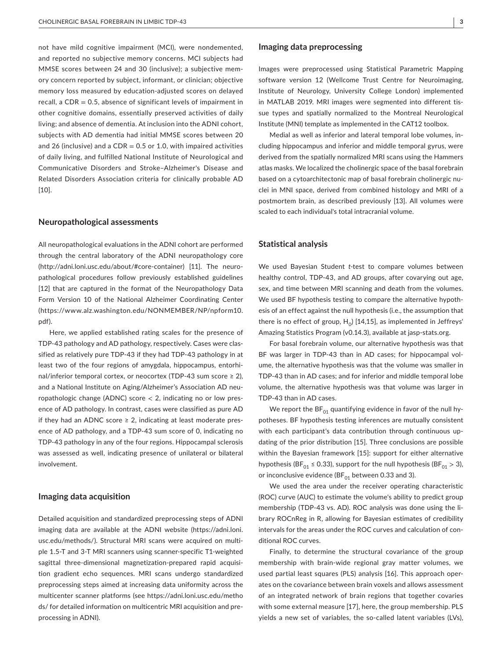not have mild cognitive impairment (MCI), were nondemented, and reported no subjective memory concerns. MCI subjects had MMSE scores between 24 and 30 (inclusive); a subjective memory concern reported by subject, informant, or clinician; objective memory loss measured by education-adjusted scores on delayed recall, a  $CDR = 0.5$ , absence of significant levels of impairment in other cognitive domains, essentially preserved activities of daily living; and absence of dementia. At inclusion into the ADNI cohort, subjects with AD dementia had initial MMSE scores between 20 and 26 (inclusive) and a  $CDR = 0.5$  or 1.0, with impaired activities of daily living, and fulfilled National Institute of Neurological and Communicative Disorders and Stroke–Alzheimer's Disease and Related Disorders Association criteria for clinically probable AD [10].

#### **Neuropathological assessments**

All neuropathological evaluations in the ADNI cohort are performed through the central laboratory of the ADNI neuropathology core ([http://adni.loni.usc.edu/about/#core-container\)](https://adni.loni.usc.edu/about/#core-container) [11]. The neuropathological procedures follow previously established guidelines [12] that are captured in the format of the Neuropathology Data Form Version 10 of the National Alzheimer Coordinating Center ([https://www.alz.washington.edu/NONMEMBER/NP/npform10.](https://www.alz.washington.edu/NONMEMBER/NP/npform10.pdf) [pdf\)](https://www.alz.washington.edu/NONMEMBER/NP/npform10.pdf).

Here, we applied established rating scales for the presence of TDP-43 pathology and AD pathology, respectively. Cases were classified as relatively pure TDP-43 if they had TDP-43 pathology in at least two of the four regions of amygdala, hippocampus, entorhinal/inferior temporal cortex, or neocortex (TDP-43 sum score  $\geq 2$ ), and a National Institute on Aging/Alzheimer's Association AD neuropathologic change (ADNC) score  $<$  2, indicating no or low presence of AD pathology. In contrast, cases were classified as pure AD if they had an ADNC score  $\geq$  2, indicating at least moderate presence of AD pathology, and a TDP-43 sum score of 0, indicating no TDP-43 pathology in any of the four regions. Hippocampal sclerosis was assessed as well, indicating presence of unilateral or bilateral involvement.

#### **Imaging data acquisition**

Detailed acquisition and standardized preprocessing steps of ADNI imaging data are available at the ADNI website ([https://adni.loni.](https://adni.loni.usc.edu/methods/) [usc.edu/methods/\)](https://adni.loni.usc.edu/methods/). Structural MRI scans were acquired on multiple 1.5-T and 3-T MRI scanners using scanner-specific T1-weighted sagittal three-dimensional magnetization-prepared rapid acquisition gradient echo sequences. MRI scans undergo standardized preprocessing steps aimed at increasing data uniformity across the multicenter scanner platforms (see [https://adni.loni.usc.edu/metho](https://adni.loni.usc.edu/methods/) [ds/](https://adni.loni.usc.edu/methods/) for detailed information on multicentric MRI acquisition and preprocessing in ADNI).

#### **Imaging data preprocessing**

Images were preprocessed using Statistical Parametric Mapping software version 12 (Wellcome Trust Centre for Neuroimaging, Institute of Neurology, University College London) implemented in MATLAB 2019. MRI images were segmented into different tissue types and spatially normalized to the Montreal Neurological Institute (MNI) template as implemented in the CAT12 toolbox.

Medial as well as inferior and lateral temporal lobe volumes, including hippocampus and inferior and middle temporal gyrus, were derived from the spatially normalized MRI scans using the Hammers atlas masks. We localized the cholinergic space of the basal forebrain based on a cytoarchitectonic map of basal forebrain cholinergic nuclei in MNI space, derived from combined histology and MRI of a postmortem brain, as described previously [13]. All volumes were scaled to each individual's total intracranial volume.

#### **Statistical analysis**

We used Bayesian Student *t*-test to compare volumes between healthy control, TDP-43, and AD groups, after covarying out age, sex, and time between MRI scanning and death from the volumes. We used BF hypothesis testing to compare the alternative hypothesis of an effect against the null hypothesis (i.e., the assumption that there is no effect of group,  $H_0$ ) [14,15], as implemented in Jeffreys' Amazing Statistics Program (v0.14.3), available at jasp-stats.org.

For basal forebrain volume, our alternative hypothesis was that BF was larger in TDP-43 than in AD cases; for hippocampal volume, the alternative hypothesis was that the volume was smaller in TDP-43 than in AD cases; and for inferior and middle temporal lobe volume, the alternative hypothesis was that volume was larger in TDP-43 than in AD cases.

We report the  $BF_{01}$  quantifying evidence in favor of the null hypotheses. BF hypothesis testing inferences are mutually consistent with each participant's data contribution through continuous updating of the prior distribution [15]. Three conclusions are possible within the Bayesian framework [15]: support for either alternative hypothesis (BF<sub>01</sub> ≤ 0.33), support for the null hypothesis (BF<sub>01</sub> > 3), or inconclusive evidence (BF $_{01}$  between 0.33 and 3).

We used the area under the receiver operating characteristic (ROC) curve (AUC) to estimate the volume's ability to predict group membership (TDP-43 vs. AD). ROC analysis was done using the library ROCnReg in R, allowing for Bayesian estimates of credibility intervals for the areas under the ROC curves and calculation of conditional ROC curves.

Finally, to determine the structural covariance of the group membership with brain-wide regional gray matter volumes, we used partial least squares (PLS) analysis [16]. This approach operates on the covariance between brain voxels and allows assessment of an integrated network of brain regions that together covaries with some external measure [17], here, the group membership. PLS yields a new set of variables, the so-called latent variables (LVs),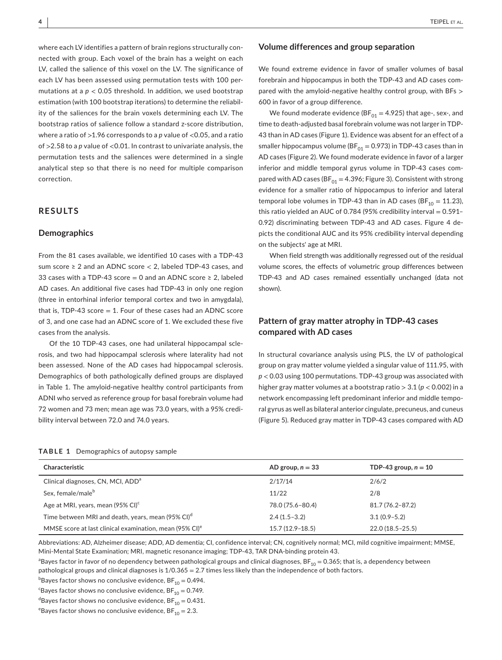where each LV identifies a pattern of brain regions structurally connected with group. Each voxel of the brain has a weight on each LV, called the salience of this voxel on the LV. The significance of each LV has been assessed using permutation tests with 100 permutations at a  $p < 0.05$  threshold. In addition, we used bootstrap estimation (with 100 bootstrap iterations) to determine the reliability of the saliences for the brain voxels determining each LV. The bootstrap ratios of salience follow a standard z-score distribution, where a ratio of >1.96 corresponds to a *p* value of <0.05, and a ratio of >2.58 to a *p* value of <0.01. In contrast to univariate analysis, the permutation tests and the saliences were determined in a single analytical step so that there is no need for multiple comparison correction.

# **RESULTS**

#### **Demographics**

From the 81 cases available, we identified 10 cases with a TDP-43 sum score  $\geq 2$  and an ADNC score  $< 2$ , labeled TDP-43 cases, and 33 cases with a TDP-43 score = 0 and an ADNC score  $\geq$  2, labeled AD cases. An additional five cases had TDP-43 in only one region (three in entorhinal inferior temporal cortex and two in amygdala), that is, TDP-43 score  $= 1$ . Four of these cases had an ADNC score of 3, and one case had an ADNC score of 1. We excluded these five cases from the analysis.

Of the 10 TDP-43 cases, one had unilateral hippocampal sclerosis, and two had hippocampal sclerosis where laterality had not been assessed. None of the AD cases had hippocampal sclerosis. Demographics of both pathologically defined groups are displayed in Table 1. The amyloid-negative healthy control participants from ADNI who served as reference group for basal forebrain volume had 72 women and 73 men; mean age was 73.0 years, with a 95% credibility interval between 72.0 and 74.0 years.

#### **TABLE 1** Demographics of autopsy sample

#### **Volume differences and group separation**

We found extreme evidence in favor of smaller volumes of basal forebrain and hippocampus in both the TDP-43 and AD cases compared with the amyloid-negative healthy control group, with BFs > 600 in favor of a group difference.

We found moderate evidence (BF $_{01}$  = 4.925) that age-, sex-, and time to death-adjusted basal forebrain volume was not larger in TDP-43 than in AD cases (Figure 1). Evidence was absent for an effect of a smaller hippocampus volume (BF $_{01}$  = 0.973) in TDP-43 cases than in AD cases (Figure 2). We found moderate evidence in favor of a larger inferior and middle temporal gyrus volume in TDP-43 cases compared with AD cases (BF $_{01}$  = 4.396; Figure 3). Consistent with strong evidence for a smaller ratio of hippocampus to inferior and lateral temporal lobe volumes in TDP-43 than in AD cases (BF<sub>10</sub> = 11.23), this ratio yielded an AUC of 0.784 (95% credibility interval  $= 0.591 -$ 0.92) discriminating between TDP-43 and AD cases. Figure 4 depicts the conditional AUC and its 95% credibility interval depending on the subjects' age at MRI.

When field strength was additionally regressed out of the residual volume scores, the effects of volumetric group differences between TDP-43 and AD cases remained essentially unchanged (data not shown).

# **Pattern of gray matter atrophy in TDP-43 cases compared with AD cases**

In structural covariance analysis using PLS, the LV of pathological group on gray matter volume yielded a singular value of 111.95, with *p* < 0.03 using 100 permutations. TDP-43 group was associated with higher gray matter volumes at a bootstrap ratio > 3.1 (*p* < 0.002) in a network encompassing left predominant inferior and middle temporal gyrus as well as bilateral anterior cingulate, precuneus, and cuneus (Figure 5). Reduced gray matter in TDP-43 cases compared with AD

| <b>Characteristic</b>                                               | AD group, $n = 33$ | TDP-43 group, $n = 10$ |
|---------------------------------------------------------------------|--------------------|------------------------|
| Clinical diagnoses, CN, MCI, ADD <sup>a</sup>                       | 2/17/14            | 2/6/2                  |
| Sex, female/male <sup>b</sup>                                       | 11/22              | 2/8                    |
| Age at MRI, years, mean (95% CI) <sup>c</sup>                       | 78.0 (75.6-80.4)   | $81.7(76.2 - 87.2)$    |
| Time between MRI and death, years, mean (95% CI) <sup>d</sup>       | $2.4(1.5-3.2)$     | $3.1(0.9 - 5.2)$       |
| MMSE score at last clinical examination, mean (95% CI) <sup>e</sup> | $15.7(12.9-18.5)$  | $22.0(18.5 - 25.5)$    |

Abbreviations: AD, Alzheimer disease; ADD, AD dementia; CI, confidence interval; CN, cognitively normal; MCI, mild cognitive impairment; MMSE, Mini-Mental State Examination; MRI, magnetic resonance imaging; TDP-43, TAR DNA-binding protein 43.

 $^{\rm a}$ Bayes factor in favor of no dependency between pathological groups and clinical diagnoses, BF $_{10}$  = 0.365; that is, a dependency between pathological groups and clinical diagnoses is 1/0.365 = 2.7 times less likely than the independence of both factors.

 $^{\rm b}$ Bayes factor shows no conclusive evidence, BF $_{10}$  = 0.494.

 $\mathrm{^{c}}$ Bayes factor shows no conclusive evidence, BF $_{10}$  = 0.749.

 $^{\text{d}}$ Bayes factor shows no conclusive evidence, BF $_{\text{10}}$  = 0.431.

 $\mathrm{e}_2$ Bayes factor shows no conclusive evidence, BF $_{10}$  = 2.3.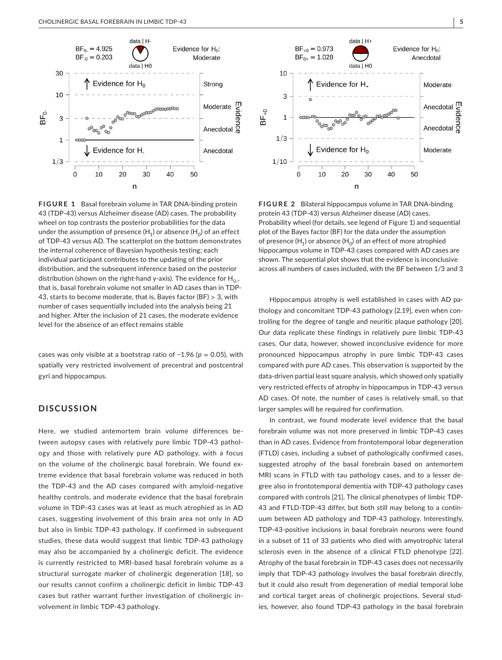

**FIGURE 1** Basal forebrain volume in TAR DNA-binding protein 43 (TDP-43) versus Alzheimer disease (AD) cases. The probability wheel on top contrasts the posterior probabilities for the data under the assumption of presence  $(H_1)$  or absence  $(H_0)$  of an effect of TDP-43 versus AD. The scatterplot on the bottom demonstrates the internal coherence of Bayesian hypothesis testing; each individual participant contributes to the updating of the prior distribution, and the subsequent inference based on the posterior distribution (shown on the right-hand y-axis). The evidence for  $H_{0}$ , that is, basal forebrain volume not smaller in AD cases than in TDP-43, starts to become moderate, that is, Bayes factor (BF)  $>$  3, with number of cases sequentially included into the analysis being 21 and higher. After the inclusion of 21 cases, the moderate evidence level for the absence of an effect remains stable

cases was only visible at a bootstrap ratio of −1.96 (*p* = 0.05), with spatially very restricted involvement of precentral and postcentral gyri and hippocampus.

## **DISCUSSION**

Here, we studied antemortem brain volume differences between autopsy cases with relatively pure limbic TDP-43 pathology and those with relatively pure AD pathology, with a focus on the volume of the cholinergic basal forebrain. We found extreme evidence that basal forebrain volume was reduced in both the TDP-43 and the AD cases compared with amyloid-negative healthy controls, and moderate evidence that the basal forebrain volume in TDP-43 cases was at least as much atrophied as in AD cases, suggesting involvement of this brain area not only in AD but also in limbic TDP-43 pathology. If confirmed in subsequent studies, these data would suggest that limbic TDP-43 pathology may also be accompanied by a cholinergic deficit. The evidence is currently restricted to MRI-based basal forebrain volume as a structural surrogate marker of cholinergic degeneration [18], so our results cannot confirm a cholinergic deficit in limbic TDP-43 cases but rather warrant further investigation of cholinergic involvement in limbic TDP-43 pathology.



**FIGURE 2** Bilateral hippocampus volume in TAR DNA-binding protein 43 (TDP-43) versus Alzheimer disease (AD) cases. Probability wheel (for details, see legend of Figure 1) and sequential plot of the Bayes factor (BF) for the data under the assumption of presence  $(H_1)$  or absence  $(H_0)$  of an effect of more atrophied hippocampus volume in TDP-43 cases compared with AD cases are shown. The sequential plot shows that the evidence is inconclusive across all numbers of cases included, with the BF between 1/3 and 3

Hippocampus atrophy is well established in cases with AD pathology and concomitant TDP-43 pathology [2,19], even when controlling for the degree of tangle and neuritic plaque pathology [20]. Our data replicate these findings in relatively pure limbic TDP-43 cases. Our data, however, showed inconclusive evidence for more pronounced hippocampus atrophy in pure limbic TDP-43 cases compared with pure AD cases. This observation is supported by the data-driven partial least square analysis, which showed only spatially very restricted effects of atrophy in hippocampus in TDP-43 versus AD cases. Of note, the number of cases is relatively small, so that larger samples will be required for confirmation.

In contrast, we found moderate level evidence that the basal forebrain volume was not more preserved in limbic TDP-43 cases than in AD cases. Evidence from frontotemporal lobar degeneration (FTLD) cases, including a subset of pathologically confirmed cases, suggested atrophy of the basal forebrain based on antemortem MRI scans in FTLD with tau pathology cases, and to a lesser degree also in frontotemporal dementia with TDP-43 pathology cases compared with controls [21]. The clinical phenotypes of limbic TDP-43 and FTLD-TDP-43 differ, but both still may belong to a continuum between AD pathology and TDP-43 pathology. Interestingly, TDP-43-positive inclusions in basal forebrain neurons were found in a subset of 11 of 33 patients who died with amyotrophic lateral sclerosis even in the absence of a clinical FTLD phenotype [22]. Atrophy of the basal forebrain in TDP-43 cases does not necessarily imply that TDP-43 pathology involves the basal forebrain directly, but it could also result from degeneration of medial temporal lobe and cortical target areas of cholinergic projections. Several studies, however, also found TDP-43 pathology in the basal forebrain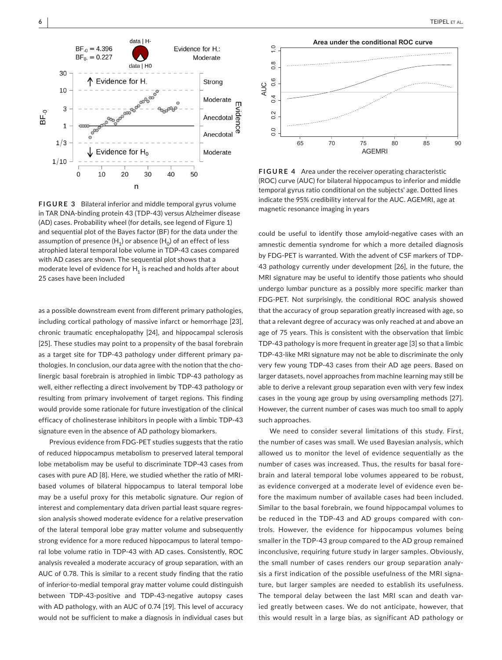

**FIGURE 3** Bilateral inferior and middle temporal gyrus volume in TAR DNA-binding protein 43 (TDP-43) versus Alzheimer disease (AD) cases. Probability wheel (for details, see legend of Figure 1) and sequential plot of the Bayes factor (BF) for the data under the assumption of presence  $(H_1)$  or absence  $(H_0)$  of an effect of less atrophied lateral temporal lobe volume in TDP-43 cases compared with AD cases are shown. The sequential plot shows that a moderate level of evidence for  $H_1$  is reached and holds after about 25 cases have been included

as a possible downstream event from different primary pathologies, including cortical pathology of massive infarct or hemorrhage [23], chronic traumatic encephalopathy [24], and hippocampal sclerosis [25]. These studies may point to a propensity of the basal forebrain as a target site for TDP-43 pathology under different primary pathologies. In conclusion, our data agree with the notion that the cholinergic basal forebrain is atrophied in limbic TDP-43 pathology as well, either reflecting a direct involvement by TDP-43 pathology or resulting from primary involvement of target regions. This finding would provide some rationale for future investigation of the clinical efficacy of cholinesterase inhibitors in people with a limbic TDP-43 signature even in the absence of AD pathology biomarkers.

Previous evidence from FDG-PET studies suggests that the ratio of reduced hippocampus metabolism to preserved lateral temporal lobe metabolism may be useful to discriminate TDP-43 cases from cases with pure AD [8]. Here, we studied whether the ratio of MRIbased volumes of bilateral hippocampus to lateral temporal lobe may be a useful proxy for this metabolic signature. Our region of interest and complementary data driven partial least square regression analysis showed moderate evidence for a relative preservation of the lateral temporal lobe gray matter volume and subsequently strong evidence for a more reduced hippocampus to lateral temporal lobe volume ratio in TDP-43 with AD cases. Consistently, ROC analysis revealed a moderate accuracy of group separation, with an AUC of 0.78. This is similar to a recent study finding that the ratio of inferior-to-medial temporal gray matter volume could distinguish between TDP-43-positive and TDP-43-negative autopsy cases with AD pathology, with an AUC of 0.74 [19]. This level of accuracy would not be sufficient to make a diagnosis in individual cases but



**FIGURE 4** Area under the receiver operating characteristic (ROC) curve (AUC) for bilateral hippocampus to inferior and middle temporal gyrus ratio conditional on the subjects' age. Dotted lines indicate the 95% credibility interval for the AUC. AGEMRI, age at magnetic resonance imaging in years

could be useful to identify those amyloid-negative cases with an amnestic dementia syndrome for which a more detailed diagnosis by FDG-PET is warranted. With the advent of CSF markers of TDP-43 pathology currently under development [26], in the future, the MRI signature may be useful to identify those patients who should undergo lumbar puncture as a possibly more specific marker than FDG-PET. Not surprisingly, the conditional ROC analysis showed that the accuracy of group separation greatly increased with age, so that a relevant degree of accuracy was only reached at and above an age of 75 years. This is consistent with the observation that limbic TDP-43 pathology is more frequent in greater age [3] so that a limbic TDP-43-like MRI signature may not be able to discriminate the only very few young TDP-43 cases from their AD age peers. Based on larger datasets, novel approaches from machine learning may still be able to derive a relevant group separation even with very few index cases in the young age group by using oversampling methods [27]. However, the current number of cases was much too small to apply such approaches.

We need to consider several limitations of this study. First, the number of cases was small. We used Bayesian analysis, which allowed us to monitor the level of evidence sequentially as the number of cases was increased. Thus, the results for basal forebrain and lateral temporal lobe volumes appeared to be robust, as evidence converged at a moderate level of evidence even before the maximum number of available cases had been included. Similar to the basal forebrain, we found hippocampal volumes to be reduced in the TDP-43 and AD groups compared with controls. However, the evidence for hippocampus volumes being smaller in the TDP-43 group compared to the AD group remained inconclusive, requiring future study in larger samples. Obviously, the small number of cases renders our group separation analysis a first indication of the possible usefulness of the MRI signature, but larger samples are needed to establish its usefulness. The temporal delay between the last MRI scan and death varied greatly between cases. We do not anticipate, however, that this would result in a large bias, as significant AD pathology or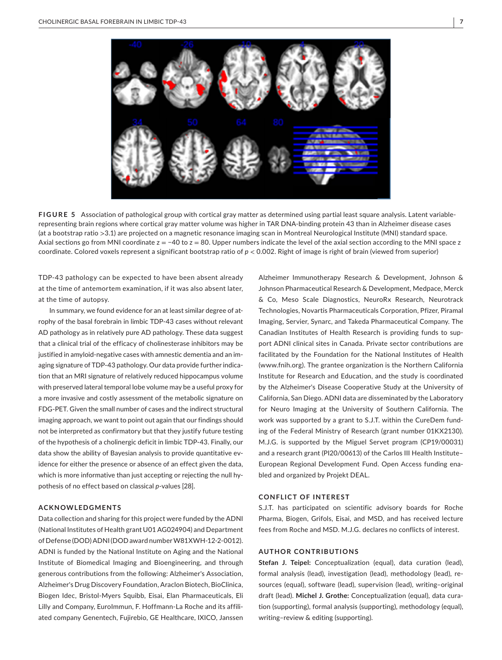

**FIGURE 5** Association of pathological group with cortical gray matter as determined using partial least square analysis. Latent variablerepresenting brain regions where cortical gray matter volume was higher in TAR DNA-binding protein 43 than in Alzheimer disease cases (at a bootstrap ratio >3.1) are projected on a magnetic resonance imaging scan in Montreal Neurological Institute (MNI) standard space. Axial sections go from MNI coordinate  $z = -40$  to  $z = 80$ . Upper numbers indicate the level of the axial section according to the MNI space z coordinate. Colored voxels represent a significant bootstrap ratio of *p* < 0.002. Right of image is right of brain (viewed from superior)

TDP-43 pathology can be expected to have been absent already at the time of antemortem examination, if it was also absent later, at the time of autopsy.

In summary, we found evidence for an at least similar degree of atrophy of the basal forebrain in limbic TDP-43 cases without relevant AD pathology as in relatively pure AD pathology. These data suggest that a clinical trial of the efficacy of cholinesterase inhibitors may be justified in amyloid-negative cases with amnestic dementia and an imaging signature of TDP-43 pathology. Our data provide further indication that an MRI signature of relatively reduced hippocampus volume with preserved lateral temporal lobe volume may be a useful proxy for a more invasive and costly assessment of the metabolic signature on FDG-PET. Given the small number of cases and the indirect structural imaging approach, we want to point out again that our findings should not be interpreted as confirmatory but that they justify future testing of the hypothesis of a cholinergic deficit in limbic TDP-43. Finally, our data show the ability of Bayesian analysis to provide quantitative evidence for either the presence or absence of an effect given the data, which is more informative than just accepting or rejecting the null hypothesis of no effect based on classical *p*-values [28].

## **ACKNOWLEDGMENTS**

Data collection and sharing for this project were funded by the ADNI (National Institutes of Health grant U01 AG024904) and Department of Defense (DOD) ADNI (DOD award number W81XWH-12-2-0012). ADNI is funded by the National Institute on Aging and the National Institute of Biomedical Imaging and Bioengineering, and through generous contributions from the following: Alzheimer's Association, Alzheimer's Drug Discovery Foundation, Araclon Biotech, BioClinica, Biogen Idec, Bristol-Myers Squibb, Eisai, Elan Pharmaceuticals, Eli Lilly and Company, EuroImmun, F. Hoffmann-La Roche and its affiliated company Genentech, Fujirebio, GE Healthcare, IXICO, Janssen

Alzheimer Immunotherapy Research & Development, Johnson & Johnson Pharmaceutical Research & Development, Medpace, Merck & Co, Meso Scale Diagnostics, NeuroRx Research, Neurotrack Technologies, Novartis Pharmaceuticals Corporation, Pfizer, Piramal Imaging, Servier, Synarc, and Takeda Pharmaceutical Company. The Canadian Institutes of Health Research is providing funds to support ADNI clinical sites in Canada. Private sector contributions are facilitated by the Foundation for the National Institutes of Health ([www.fnih.org](http://www.fnih.org)). The grantee organization is the Northern California Institute for Research and Education, and the study is coordinated by the Alzheimer's Disease Cooperative Study at the University of California, San Diego. ADNI data are disseminated by the Laboratory for Neuro Imaging at the University of Southern California. The work was supported by a grant to S.J.T. within the CureDem funding of the Federal Ministry of Research (grant number 01KX2130). M.J.G. is supported by the Miguel Servet program (CP19/00031) and a research grant (PI20/00613) of the Carlos III Health Institute– European Regional Development Fund. Open Access funding enabled and organized by Projekt DEAL.

#### **CONFLICT OF INTEREST**

S.J.T. has participated on scientific advisory boards for Roche Pharma, Biogen, Grifols, Eisai, and MSD, and has received lecture fees from Roche and MSD. M.J.G. declares no conflicts of interest.

#### **AUTHOR CONTRIBUTIONS**

**Stefan J. Teipel:** Conceptualization (equal), data curation (lead), formal analysis (lead), investigation (lead), methodology (lead), resources (equal), software (lead), supervision (lead), writing–original draft (lead). **Michel J. Grothe:** Conceptualization (equal), data curation (supporting), formal analysis (supporting), methodology (equal), writing–review & editing (supporting).